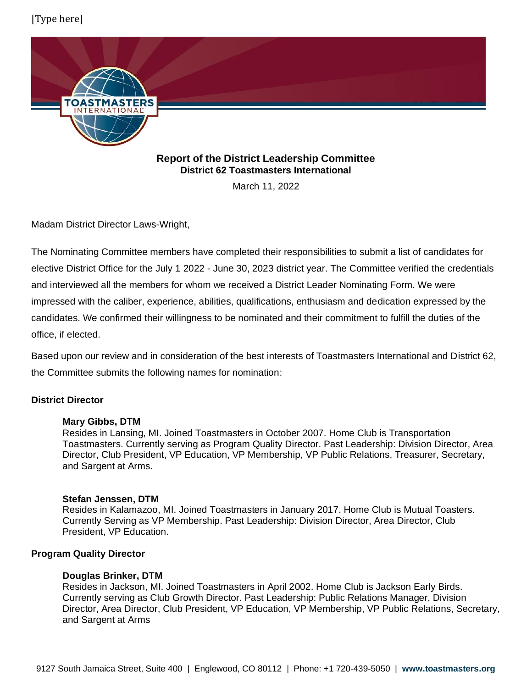# [Type here]



# **Report of the District Leadership Committee District 62 Toastmasters International**

March 11, 2022

Madam District Director Laws-Wright,

The Nominating Committee members have completed their responsibilities to submit a list of candidates for elective District Office for the July 1 2022 - June 30, 2023 district year. The Committee verified the credentials and interviewed all the members for whom we received a District Leader Nominating Form. We were impressed with the caliber, experience, abilities, qualifications, enthusiasm and dedication expressed by the candidates. We confirmed their willingness to be nominated and their commitment to fulfill the duties of the office, if elected.

Based upon our review and in consideration of the best interests of Toastmasters International and District 62, the Committee submits the following names for nomination:

# **District Director**

# **Mary Gibbs, DTM**

Resides in Lansing, MI. Joined Toastmasters in October 2007. Home Club is Transportation Toastmasters. Currently serving as Program Quality Director. Past Leadership: Division Director, Area Director, Club President, VP Education, VP Membership, VP Public Relations, Treasurer, Secretary, and Sargent at Arms.

### **Stefan Jenssen, DTM**

Resides in Kalamazoo, MI. Joined Toastmasters in January 2017. Home Club is Mutual Toasters. Currently Serving as VP Membership. Past Leadership: Division Director, Area Director, Club President, VP Education.

# **Program Quality Director**

### **Douglas Brinker, DTM**

Resides in Jackson, MI. Joined Toastmasters in April 2002. Home Club is Jackson Early Birds. Currently serving as Club Growth Director. Past Leadership: Public Relations Manager, Division Director, Area Director, Club President, VP Education, VP Membership, VP Public Relations, Secretary, and Sargent at Arms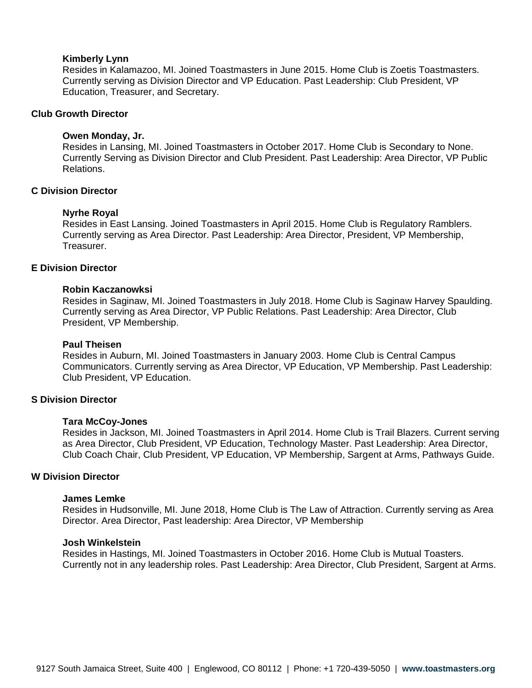#### **Kimberly Lynn**

Resides in Kalamazoo, MI. Joined Toastmasters in June 2015. Home Club is Zoetis Toastmasters. Currently serving as Division Director and VP Education. Past Leadership: Club President, VP Education, Treasurer, and Secretary.

### **Club Growth Director**

#### **Owen Monday, Jr.**

Resides in Lansing, MI. Joined Toastmasters in October 2017. Home Club is Secondary to None. Currently Serving as Division Director and Club President. Past Leadership: Area Director, VP Public Relations.

### **C Division Director**

#### **Nyrhe Royal**

Resides in East Lansing. Joined Toastmasters in April 2015. Home Club is Regulatory Ramblers. Currently serving as Area Director. Past Leadership: Area Director, President, VP Membership, Treasurer.

## **E Division Director**

#### **Robin Kaczanowksi**

Resides in Saginaw, MI. Joined Toastmasters in July 2018. Home Club is Saginaw Harvey Spaulding. Currently serving as Area Director, VP Public Relations. Past Leadership: Area Director, Club President, VP Membership.

#### **Paul Theisen**

Resides in Auburn, MI. Joined Toastmasters in January 2003. Home Club is Central Campus Communicators. Currently serving as Area Director, VP Education, VP Membership. Past Leadership: Club President, VP Education.

#### **S Division Director**

#### **Tara McCoy-Jones**

Resides in Jackson, MI. Joined Toastmasters in April 2014. Home Club is Trail Blazers. Current serving as Area Director, Club President, VP Education, Technology Master. Past Leadership: Area Director, Club Coach Chair, Club President, VP Education, VP Membership, Sargent at Arms, Pathways Guide.

#### **W Division Director**

### **James Lemke**

Resides in Hudsonville, MI. June 2018, Home Club is The Law of Attraction. Currently serving as Area Director. Area Director, Past leadership: Area Director, VP Membership

#### **Josh Winkelstein**

Resides in Hastings, MI. Joined Toastmasters in October 2016. Home Club is Mutual Toasters. Currently not in any leadership roles. Past Leadership: Area Director, Club President, Sargent at Arms.